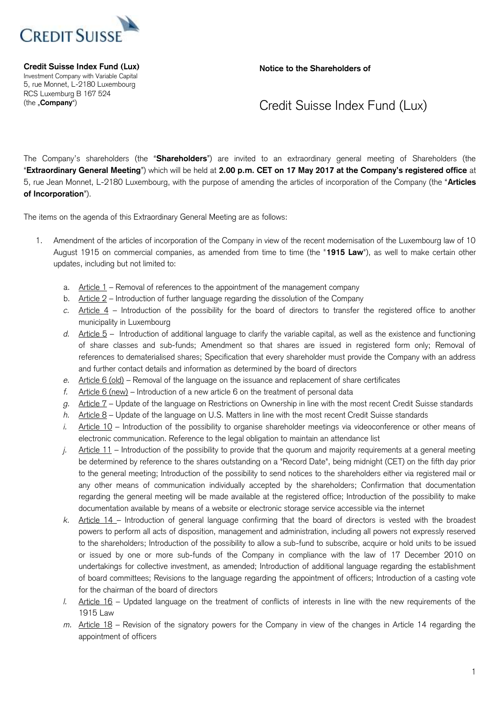

**Notice to the Shareholders of** 

 Investment Company with Variable Capital **Credit Suisse Index Fund (Lux)**  5, rue Monnet, L-2180 Luxembourg RCS Luxemburg B 167 524 (the "**Company**")

## Credit Suisse Index Fund (Lux)

 The Company's shareholders (the "**Shareholders**") are invited to an extraordinary general meeting of Shareholders (the "**Extraordinary General Meeting**") which will be held at **2.00 p.m. CET on 17 May 2017 at the Company's registered office** at 5, rue Jean Monnet, L-2180 Luxembourg, with the purpose of amending the articles of incorporation of the Company (the "**Articles of Incorporation**").

The items on the agenda of this Extraordinary General Meeting are as follows:

- 1. Amendment of the articles of incorporation of the Company in view of the recent modernisation of the Luxembourg law of 10 August 1915 on commercial companies, as amended from time to time (the "**1915 Law**"), as well to make certain other updates, including but not limited to:
	- a. Article 1 Removal of references to the appointment of the management company
	- b. Article 2 Introduction of further language regarding the dissolution of the Company
	- *c.* Article 4 Introduction of the possibility for the board of directors to transfer the registered office to another municipality in Luxembourg
	- *d.* Article 5 Introduction of additional language to clarify the variable capital, as well as the existence and functioning of share classes and sub-funds; Amendment so that shares are issued in registered form only; Removal of references to dematerialised shares; Specification that every shareholder must provide the Company with an address and further contact details and information as determined by the board of directors
	- *e.* Article 6 (old) Removal of the language on the issuance and replacement of share certificates
	- *f.* Article 6 (new) Introduction of a new article 6 on the treatment of personal data
	- *g.* Article 7 Update of the language on Restrictions on Ownership in line with the most recent Credit Suisse standards
	- *h.* Article 8 Update of the language on U.S. Matters in line with the most recent Credit Suisse standards
	- *i.* Article 10 Introduction of the possibility to organise shareholder meetings via videoconference or other means of electronic communication. Reference to the legal obligation to maintain an attendance list
	- *j.* Article 11 Introduction of the possibility to provide that the quorum and majority requirements at a general meeting be determined by reference to the shares outstanding on a "Record Date", being midnight (CET) on the fifth day prior to the general meeting; Introduction of the possibility to send notices to the shareholders either via registered mail or any other means of communication individually accepted by the shareholders; Confirmation that documentation regarding the general meeting will be made available at the registered office; Introduction of the possibility to make documentation available by means of a website or electronic storage service accessible via the internet
	- *k.* Article 14 Introduction of general language confirming that the board of directors is vested with the broadest powers to perform all acts of disposition, management and administration, including all powers not expressly reserved to the shareholders; Introduction of the possibility to allow a sub-fund to subscribe, acquire or hold units to be issued or issued by one or more sub-funds of the Company in compliance with the law of 17 December 2010 on undertakings for collective investment, as amended; Introduction of additional language regarding the establishment of board committees; Revisions to the language regarding the appointment of officers; Introduction of a casting vote for the chairman of the board of directors
	- *l.* Article 16 Updated language on the treatment of conflicts of interests in line with the new requirements of the 1915 Law
	- *m.* Article 18 Revision of the signatory powers for the Company in view of the changes in Article 14 regarding the appointment of officers